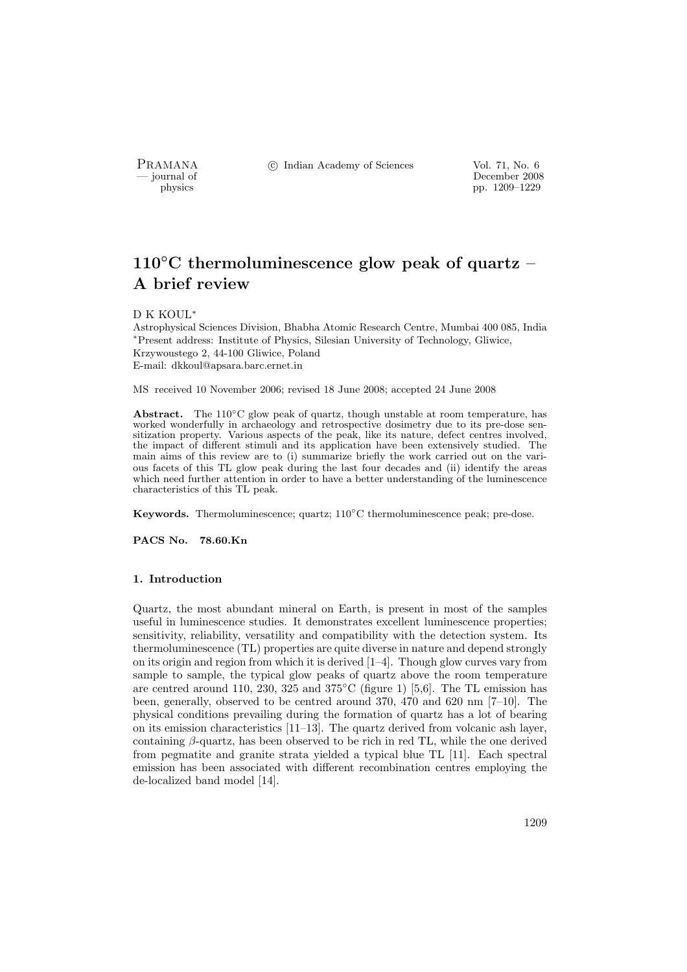PRAMANA <sup>C</sup> Indian Academy of Sciences Vol. 71, No. 6<br>
— iournal of December 2008

physics<br>
and the physics<br>  $\frac{1209-1229}{p}$ pp. 1209–1229

# $110\degree$ C thermoluminescence glow peak of quartz – A brief review

#### D K KOUL<sup>∗</sup>

Astrophysical Sciences Division, Bhabha Atomic Research Centre, Mumbai 400 085, India <sup>∗</sup>Present address: Institute of Physics, Silesian University of Technology, Gliwice, Krzywoustego 2, 44-100 Gliwice, Poland E-mail: dkkoul@apsara.barc.ernet.in

MS received 10 November 2006; revised 18 June 2008; accepted 24 June 2008

Abstract. The  $110\textdegree C$  glow peak of quartz, though unstable at room temperature, has worked wonderfully in archaeology and retrospective dosimetry due to its pre-dose sensitization property. Various aspects of the peak, like its nature, defect centres involved, the impact of different stimuli and its application have been extensively studied. The main aims of this review are to (i) summarize briefly the work carried out on the various facets of this TL glow peak during the last four decades and (ii) identify the areas which need further attention in order to have a better understanding of the luminescence characteristics of this TL peak.

Keywords. Thermoluminescence; quartz; 110◦C thermoluminescence peak; pre-dose.

PACS No. 78.60.Kn

#### 1. Introduction

Quartz, the most abundant mineral on Earth, is present in most of the samples useful in luminescence studies. It demonstrates excellent luminescence properties; sensitivity, reliability, versatility and compatibility with the detection system. Its thermoluminescence (TL) properties are quite diverse in nature and depend strongly on its origin and region from which it is derived [1–4]. Though glow curves vary from sample to sample, the typical glow peaks of quartz above the room temperature are centred around 110, 230, 325 and 375◦C (figure 1) [5,6]. The TL emission has been, generally, observed to be centred around 370, 470 and 620 nm [7–10]. The physical conditions prevailing during the formation of quartz has a lot of bearing on its emission characteristics [11–13]. The quartz derived from volcanic ash layer, containing  $\beta$ -quartz, has been observed to be rich in red TL, while the one derived from pegmatite and granite strata yielded a typical blue TL [11]. Each spectral emission has been associated with different recombination centres employing the de-localized band model [14].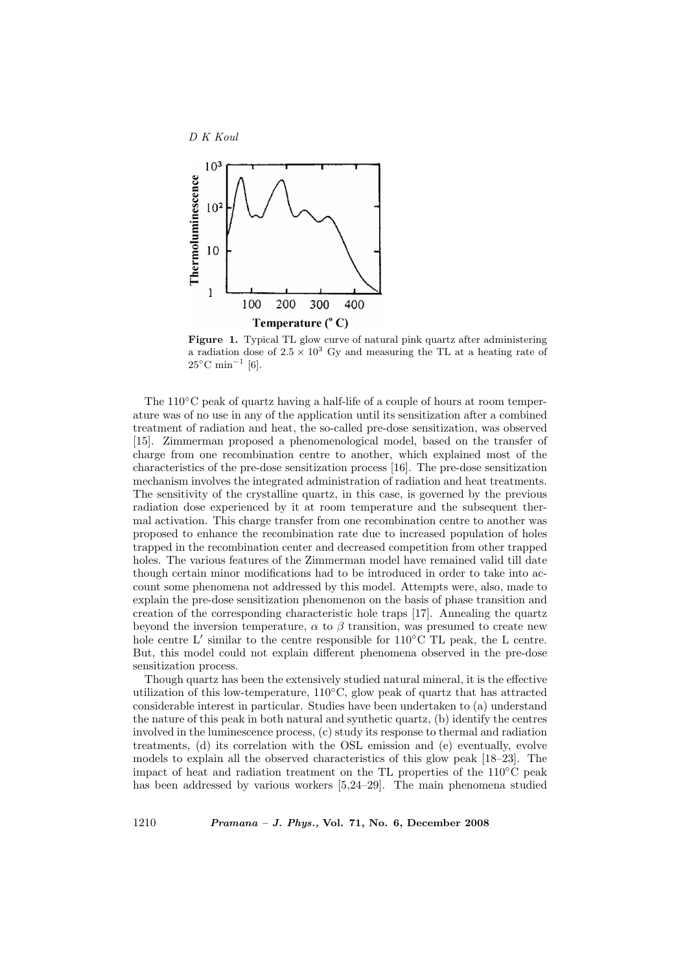



Figure 1. Typical TL glow curve of natural pink quartz after administering a radiation dose of  $2.5 \times 10^3$  Gy and measuring the TL at a heating rate of  $25^{\circ}$ C min<sup>-1</sup> [6].

The 110<sup>°</sup>C peak of quartz having a half-life of a couple of hours at room temperature was of no use in any of the application until its sensitization after a combined treatment of radiation and heat, the so-called pre-dose sensitization, was observed [15]. Zimmerman proposed a phenomenological model, based on the transfer of charge from one recombination centre to another, which explained most of the characteristics of the pre-dose sensitization process [16]. The pre-dose sensitization mechanism involves the integrated administration of radiation and heat treatments. The sensitivity of the crystalline quartz, in this case, is governed by the previous radiation dose experienced by it at room temperature and the subsequent thermal activation. This charge transfer from one recombination centre to another was proposed to enhance the recombination rate due to increased population of holes trapped in the recombination center and decreased competition from other trapped holes. The various features of the Zimmerman model have remained valid till date though certain minor modifications had to be introduced in order to take into account some phenomena not addressed by this model. Attempts were, also, made to explain the pre-dose sensitization phenomenon on the basis of phase transition and creation of the corresponding characteristic hole traps [17]. Annealing the quartz beyond the inversion temperature,  $\alpha$  to  $\beta$  transition, was presumed to create new hole centre L' similar to the centre responsible for  $110\textdegree C$  TL peak, the L centre. But, this model could not explain different phenomena observed in the pre-dose sensitization process.

Though quartz has been the extensively studied natural mineral, it is the effective utilization of this low-temperature,  $110\degree C$ , glow peak of quartz that has attracted considerable interest in particular. Studies have been undertaken to (a) understand the nature of this peak in both natural and synthetic quartz, (b) identify the centres involved in the luminescence process, (c) study its response to thermal and radiation treatments, (d) its correlation with the OSL emission and (e) eventually, evolve models to explain all the observed characteristics of this glow peak [18–23]. The impact of heat and radiation treatment on the TL properties of the 110◦C peak has been addressed by various workers [5,24–29]. The main phenomena studied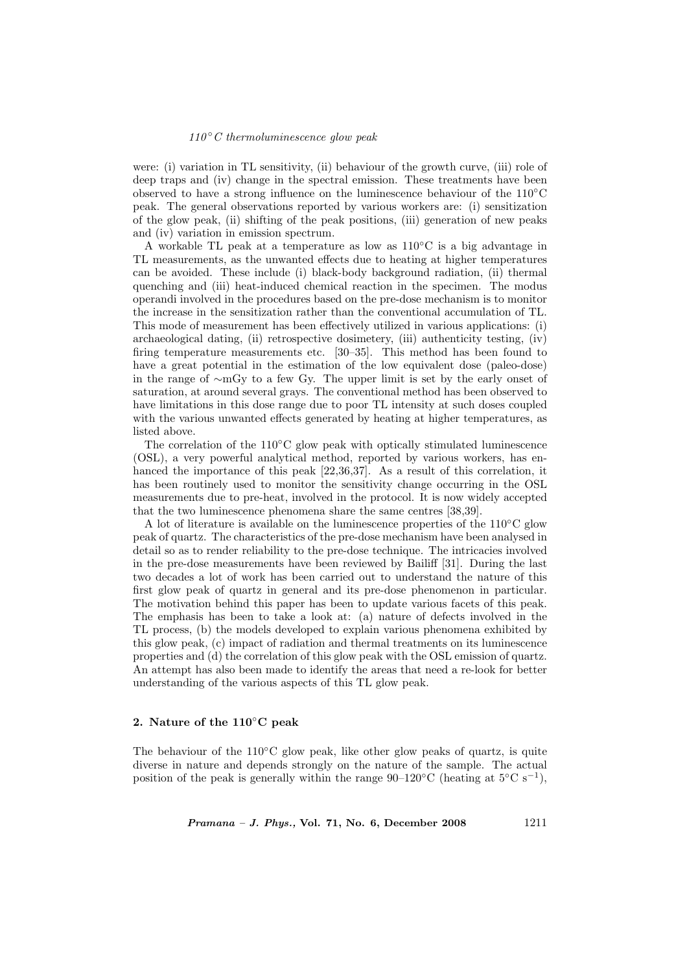were: (i) variation in TL sensitivity, (ii) behaviour of the growth curve, (iii) role of deep traps and (iv) change in the spectral emission. These treatments have been observed to have a strong influence on the luminescence behaviour of the 110◦C peak. The general observations reported by various workers are: (i) sensitization of the glow peak, (ii) shifting of the peak positions, (iii) generation of new peaks and (iv) variation in emission spectrum.

A workable TL peak at a temperature as low as 110◦C is a big advantage in TL measurements, as the unwanted effects due to heating at higher temperatures can be avoided. These include (i) black-body background radiation, (ii) thermal quenching and (iii) heat-induced chemical reaction in the specimen. The modus operandi involved in the procedures based on the pre-dose mechanism is to monitor the increase in the sensitization rather than the conventional accumulation of TL. This mode of measurement has been effectively utilized in various applications: (i) archaeological dating, (ii) retrospective dosimetery, (iii) authenticity testing, (iv) firing temperature measurements etc. [30–35]. This method has been found to have a great potential in the estimation of the low equivalent dose (paleo-dose) in the range of ∼mGy to a few Gy. The upper limit is set by the early onset of saturation, at around several grays. The conventional method has been observed to have limitations in this dose range due to poor TL intensity at such doses coupled with the various unwanted effects generated by heating at higher temperatures, as listed above.

The correlation of the 110◦C glow peak with optically stimulated luminescence (OSL), a very powerful analytical method, reported by various workers, has enhanced the importance of this peak [22,36,37]. As a result of this correlation, it has been routinely used to monitor the sensitivity change occurring in the OSL measurements due to pre-heat, involved in the protocol. It is now widely accepted that the two luminescence phenomena share the same centres [38,39].

A lot of literature is available on the luminescence properties of the  $110\degree C$  glow peak of quartz. The characteristics of the pre-dose mechanism have been analysed in detail so as to render reliability to the pre-dose technique. The intricacies involved in the pre-dose measurements have been reviewed by Bailiff [31]. During the last two decades a lot of work has been carried out to understand the nature of this first glow peak of quartz in general and its pre-dose phenomenon in particular. The motivation behind this paper has been to update various facets of this peak. The emphasis has been to take a look at: (a) nature of defects involved in the TL process, (b) the models developed to explain various phenomena exhibited by this glow peak, (c) impact of radiation and thermal treatments on its luminescence properties and (d) the correlation of this glow peak with the OSL emission of quartz. An attempt has also been made to identify the areas that need a re-look for better understanding of the various aspects of this TL glow peak.

## 2. Nature of the 110◦C peak

The behaviour of the  $110\degree C$  glow peak, like other glow peaks of quartz, is quite diverse in nature and depends strongly on the nature of the sample. The actual position of the peak is generally within the range  $90-120\degree\text{C}$  (heating at  $5\degree\text{C s}^{-1}$ ),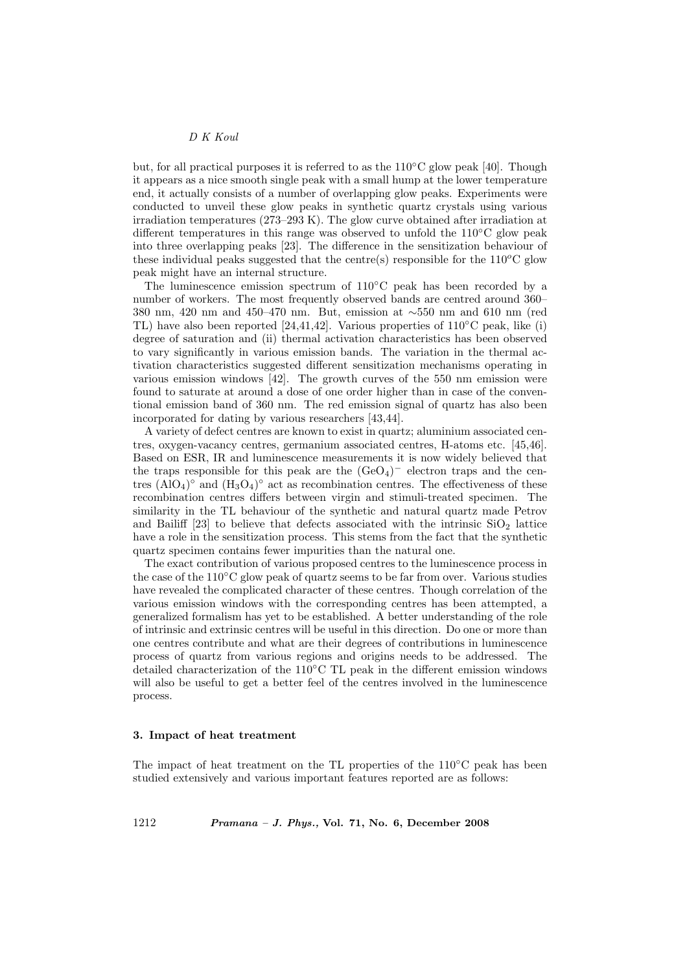but, for all practical purposes it is referred to as the  $110\degree$ C glow peak [40]. Though it appears as a nice smooth single peak with a small hump at the lower temperature end, it actually consists of a number of overlapping glow peaks. Experiments were conducted to unveil these glow peaks in synthetic quartz crystals using various irradiation temperatures (273–293 K). The glow curve obtained after irradiation at different temperatures in this range was observed to unfold the 110◦C glow peak into three overlapping peaks [23]. The difference in the sensitization behaviour of these individual peaks suggested that the centre(s) responsible for the  $110^{\circ}$ C glow peak might have an internal structure.

The luminescence emission spectrum of 110◦C peak has been recorded by a number of workers. The most frequently observed bands are centred around 360– 380 nm, 420 nm and 450–470 nm. But, emission at ∼550 nm and 610 nm (red TL) have also been reported [24,41,42]. Various properties of  $110°C$  peak, like (i) degree of saturation and (ii) thermal activation characteristics has been observed to vary significantly in various emission bands. The variation in the thermal activation characteristics suggested different sensitization mechanisms operating in various emission windows [42]. The growth curves of the 550 nm emission were found to saturate at around a dose of one order higher than in case of the conventional emission band of 360 nm. The red emission signal of quartz has also been incorporated for dating by various researchers [43,44].

A variety of defect centres are known to exist in quartz; aluminium associated centres, oxygen-vacancy centres, germanium associated centres, H-atoms etc. [45,46]. Based on ESR, IR and luminescence measurements it is now widely believed that the traps responsible for this peak are the  $(GeO<sub>4</sub>)$ <sup>-</sup> electron traps and the centres  $(AlO<sub>4</sub>)<sup>o</sup>$  and  $(H<sub>3</sub>O<sub>4</sub>)<sup>o</sup>$  act as recombination centres. The effectiveness of these recombination centres differs between virgin and stimuli-treated specimen. The similarity in the TL behaviour of the synthetic and natural quartz made Petrov and Bailiff  $[23]$  to believe that defects associated with the intrinsic  $SiO<sub>2</sub>$  lattice have a role in the sensitization process. This stems from the fact that the synthetic quartz specimen contains fewer impurities than the natural one.

The exact contribution of various proposed centres to the luminescence process in the case of the 110◦C glow peak of quartz seems to be far from over. Various studies have revealed the complicated character of these centres. Though correlation of the various emission windows with the corresponding centres has been attempted, a generalized formalism has yet to be established. A better understanding of the role of intrinsic and extrinsic centres will be useful in this direction. Do one or more than one centres contribute and what are their degrees of contributions in luminescence process of quartz from various regions and origins needs to be addressed. The detailed characterization of the 110◦C TL peak in the different emission windows will also be useful to get a better feel of the centres involved in the luminescence process.

#### 3. Impact of heat treatment

The impact of heat treatment on the TL properties of the  $110°C$  peak has been studied extensively and various important features reported are as follows: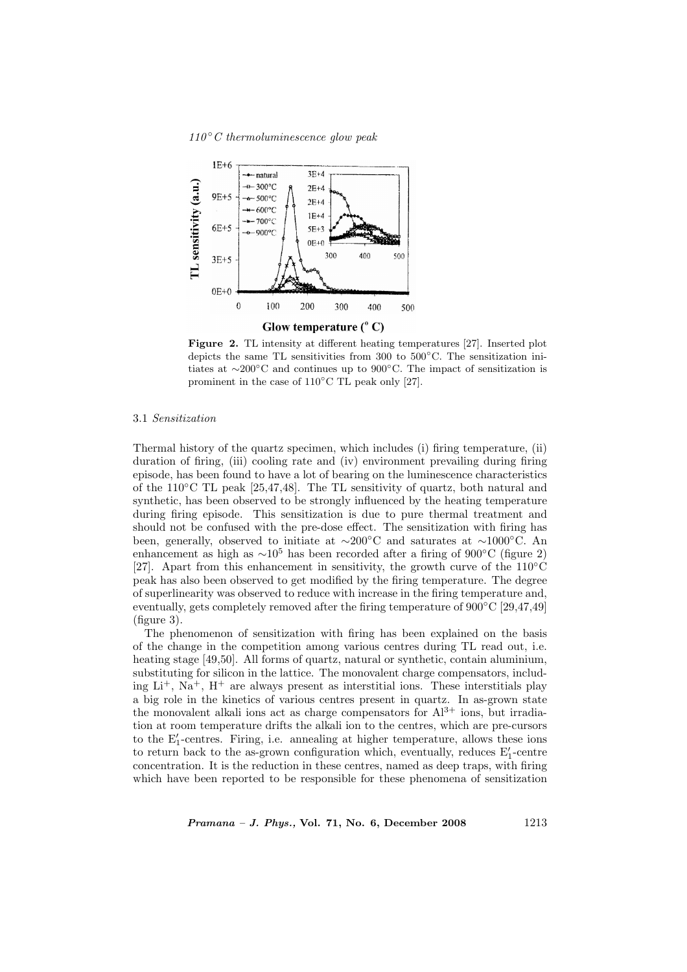$110^{\circ}$ C thermoluminescence glow peak



Figure 2. TL intensity at different heating temperatures [27]. Inserted plot depicts the same TL sensitivities from 300 to 500◦C. The sensitization initiates at ∼200◦C and continues up to 900◦C. The impact of sensitization is prominent in the case of 110◦C TL peak only [27].

#### 3.1 Sensitization

Thermal history of the quartz specimen, which includes (i) firing temperature, (ii) duration of firing, (iii) cooling rate and (iv) environment prevailing during firing episode, has been found to have a lot of bearing on the luminescence characteristics of the  $110\degree$ C TL peak [25,47,48]. The TL sensitivity of quartz, both natural and synthetic, has been observed to be strongly influenced by the heating temperature during firing episode. This sensitization is due to pure thermal treatment and should not be confused with the pre-dose effect. The sensitization with firing has been, generally, observed to initiate at ∼200◦C and saturates at ∼1000◦C. An enhancement as high as  $\sim 10^5$  has been recorded after a firing of 900°C (figure 2) [27]. Apart from this enhancement in sensitivity, the growth curve of the  $110°C$ peak has also been observed to get modified by the firing temperature. The degree of superlinearity was observed to reduce with increase in the firing temperature and, eventually, gets completely removed after the firing temperature of 900◦C [29,47,49] (figure 3).

The phenomenon of sensitization with firing has been explained on the basis of the change in the competition among various centres during TL read out, i.e. heating stage [49,50]. All forms of quartz, natural or synthetic, contain aluminium, substituting for silicon in the lattice. The monovalent charge compensators, including  $Li^+$ ,  $Na^+$ ,  $H^+$  are always present as interstitial ions. These interstitials play a big role in the kinetics of various centres present in quartz. In as-grown state the monovalent alkali ions act as charge compensators for  $Al^{3+}$  ions, but irradiation at room temperature drifts the alkali ion to the centres, which are pre-cursors to the  $E_1'$ -centres. Firing, i.e. annealing at higher temperature, allows these ions to return back to the as-grown configuration which, eventually, reduces  $E'_1$ -centre concentration. It is the reduction in these centres, named as deep traps, with firing which have been reported to be responsible for these phenomena of sensitization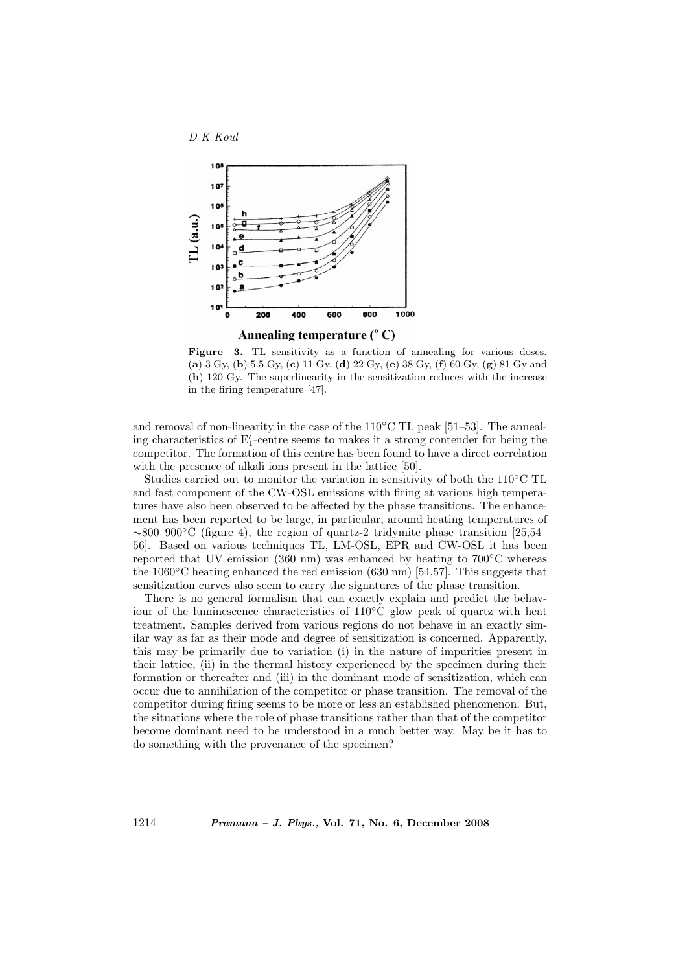



Figure 3. TL sensitivity as a function of annealing for various doses. (a) 3 Gy, (b) 5.5 Gy, (c) 11 Gy, (d) 22 Gy, (e) 38 Gy, (f) 60 Gy, (g) 81 Gy and (h) 120 Gy. The superlinearity in the sensitization reduces with the increase in the firing temperature [47].

and removal of non-linearity in the case of the  $110\degree$ C TL peak [51–53]. The annealing characteristics of  $E_1'$ -centre seems to makes it a strong contender for being the competitor. The formation of this centre has been found to have a direct correlation with the presence of alkali ions present in the lattice [50].

Studies carried out to monitor the variation in sensitivity of both the 110◦C TL and fast component of the CW-OSL emissions with firing at various high temperatures have also been observed to be affected by the phase transitions. The enhancement has been reported to be large, in particular, around heating temperatures of ∼800–900◦C (figure 4), the region of quartz-2 tridymite phase transition [25,54– 56]. Based on various techniques TL, LM-OSL, EPR and CW-OSL it has been reported that UV emission (360 nm) was enhanced by heating to  $700\degree$ C whereas the 1060 $\degree$ C heating enhanced the red emission (630 nm) [54,57]. This suggests that sensitization curves also seem to carry the signatures of the phase transition.

There is no general formalism that can exactly explain and predict the behaviour of the luminescence characteristics of 110◦C glow peak of quartz with heat treatment. Samples derived from various regions do not behave in an exactly similar way as far as their mode and degree of sensitization is concerned. Apparently, this may be primarily due to variation (i) in the nature of impurities present in their lattice, (ii) in the thermal history experienced by the specimen during their formation or thereafter and (iii) in the dominant mode of sensitization, which can occur due to annihilation of the competitor or phase transition. The removal of the competitor during firing seems to be more or less an established phenomenon. But, the situations where the role of phase transitions rather than that of the competitor become dominant need to be understood in a much better way. May be it has to do something with the provenance of the specimen?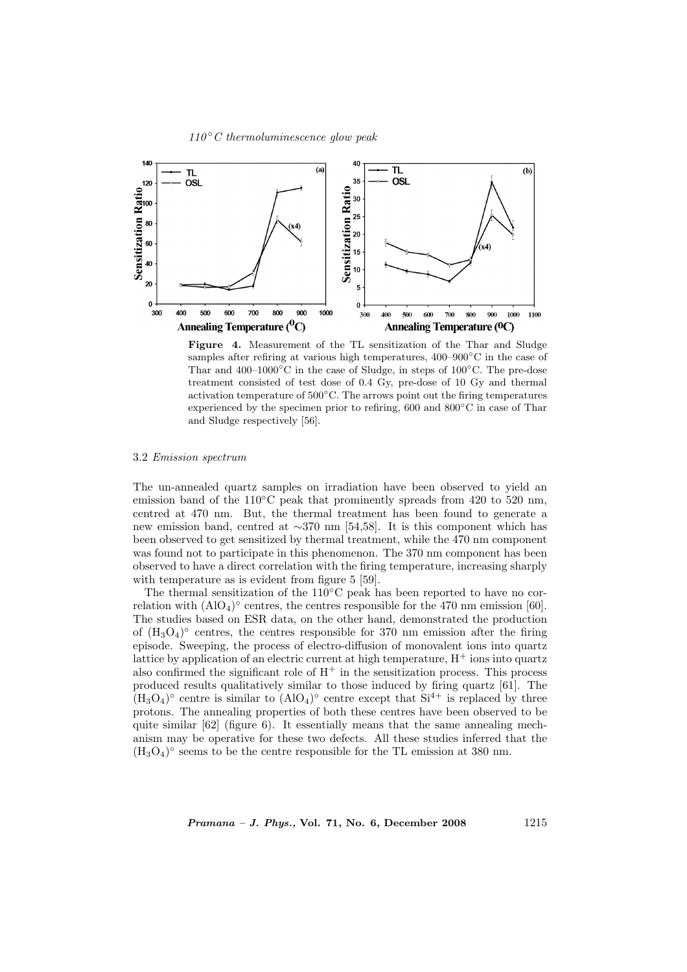

Figure 4. Measurement of the TL sensitization of the Thar and Sludge samples after refiring at various high temperatures,  $400-900°C$  in the case of Thar and  $400-1000\degree C$  in the case of Sludge, in steps of  $100\degree C$ . The pre-dose treatment consisted of test dose of 0.4 Gy, pre-dose of 10 Gy and thermal activation temperature of 500◦C. The arrows point out the firing temperatures experienced by the specimen prior to refiring, 600 and 800◦C in case of Thar and Sludge respectively [56].

#### 3.2 Emission spectrum

The un-annealed quartz samples on irradiation have been observed to yield an emission band of the 110◦C peak that prominently spreads from 420 to 520 nm, centred at 470 nm. But, the thermal treatment has been found to generate a new emission band, centred at ∼370 nm [54,58]. It is this component which has been observed to get sensitized by thermal treatment, while the 470 nm component was found not to participate in this phenomenon. The 370 nm component has been observed to have a direct correlation with the firing temperature, increasing sharply with temperature as is evident from figure 5 [59].

The thermal sensitization of the  $110\degree$ C peak has been reported to have no correlation with  $(AIO<sub>4</sub>)<sup>°</sup>$  centres, the centres responsible for the 470 nm emission [60]. The studies based on ESR data, on the other hand, demonstrated the production of  $(H_3O_4)^\circ$  centres, the centres responsible for 370 nm emission after the firing episode. Sweeping, the process of electro-diffusion of monovalent ions into quartz lattice by application of an electric current at high temperature,  $H^+$  ions into quartz also confirmed the significant role of  $H^+$  in the sensitization process. This process produced results qualitatively similar to those induced by firing quartz [61]. The  $(H_3O_4)^\circ$  centre is similar to  $(AIO_4)^\circ$  centre except that  $Si^{4+}$  is replaced by three protons. The annealing properties of both these centres have been observed to be quite similar  $[62]$  (figure 6). It essentially means that the same annealing mechanism may be operative for these two defects. All these studies inferred that the  $(H<sub>3</sub>O<sub>4</sub>)<sup>o</sup>$  seems to be the centre responsible for the TL emission at 380 nm.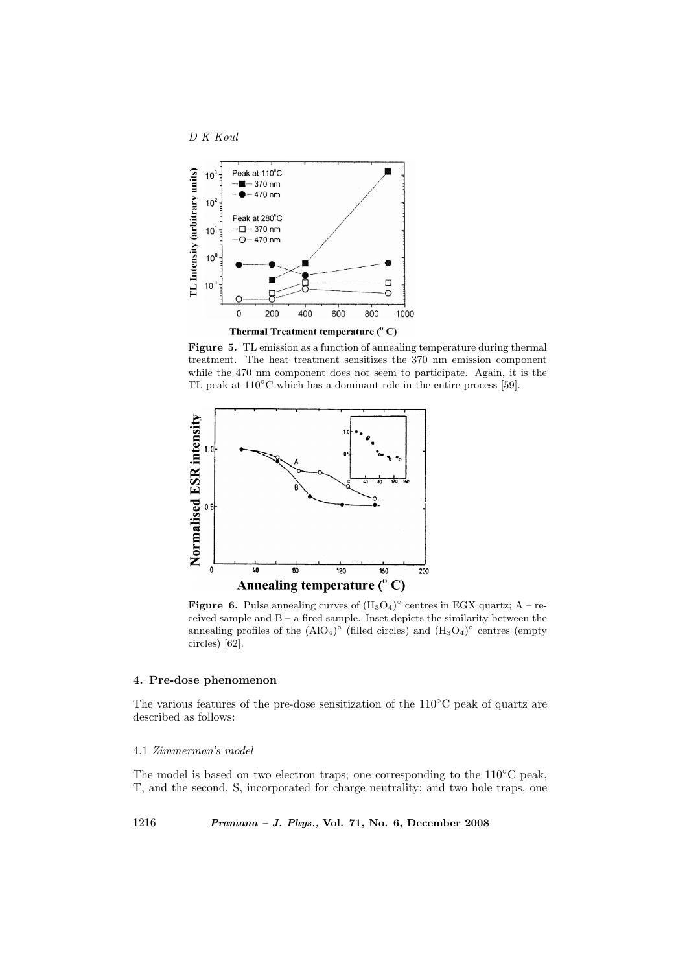



Figure 5. TL emission as a function of annealing temperature during thermal treatment. The heat treatment sensitizes the 370 nm emission component while the 470 nm component does not seem to participate. Again, it is the TL peak at 110◦C which has a dominant role in the entire process [59].



**Figure 6.** Pulse annealing curves of  $(H_3O_4)^\circ$  centres in EGX quartz; A – received sample and B – a fired sample. Inset depicts the similarity between the annealing profiles of the  $(AlO<sub>4</sub>)<sup>°</sup>$  (filled circles) and  $(H<sub>3</sub>O<sub>4</sub>)<sup>°</sup>$  centres (empty circles) [62].

## 4. Pre-dose phenomenon

The various features of the pre-dose sensitization of the 110◦C peak of quartz are described as follows:

#### 4.1 Zimmerman's model

The model is based on two electron traps; one corresponding to the 110◦C peak, T, and the second, S, incorporated for charge neutrality; and two hole traps, one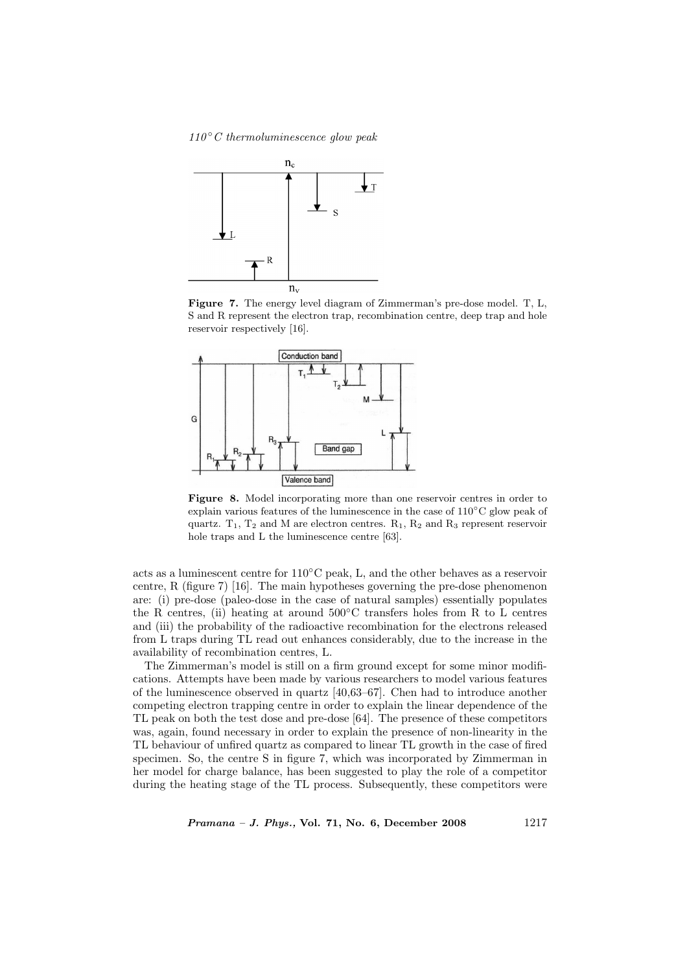$110^{\circ}$ C thermoluminescence glow peak



Figure 7. The energy level diagram of Zimmerman's pre-dose model. T, L, S and R represent the electron trap, recombination centre, deep trap and hole reservoir respectively [16].



Figure 8. Model incorporating more than one reservoir centres in order to explain various features of the luminescence in the case of 110◦C glow peak of quartz.  $T_1$ ,  $T_2$  and M are electron centres.  $R_1$ ,  $R_2$  and  $R_3$  represent reservoir hole traps and L the luminescence centre [63].

acts as a luminescent centre for 110◦C peak, L, and the other behaves as a reservoir centre, R (figure 7) [16]. The main hypotheses governing the pre-dose phenomenon are: (i) pre-dose (paleo-dose in the case of natural samples) essentially populates the R centres, (ii) heating at around  $500^{\circ}$ C transfers holes from R to L centres and (iii) the probability of the radioactive recombination for the electrons released from L traps during TL read out enhances considerably, due to the increase in the availability of recombination centres, L.

The Zimmerman's model is still on a firm ground except for some minor modifications. Attempts have been made by various researchers to model various features of the luminescence observed in quartz [40,63–67]. Chen had to introduce another competing electron trapping centre in order to explain the linear dependence of the TL peak on both the test dose and pre-dose [64]. The presence of these competitors was, again, found necessary in order to explain the presence of non-linearity in the TL behaviour of unfired quartz as compared to linear TL growth in the case of fired specimen. So, the centre S in figure 7, which was incorporated by Zimmerman in her model for charge balance, has been suggested to play the role of a competitor during the heating stage of the TL process. Subsequently, these competitors were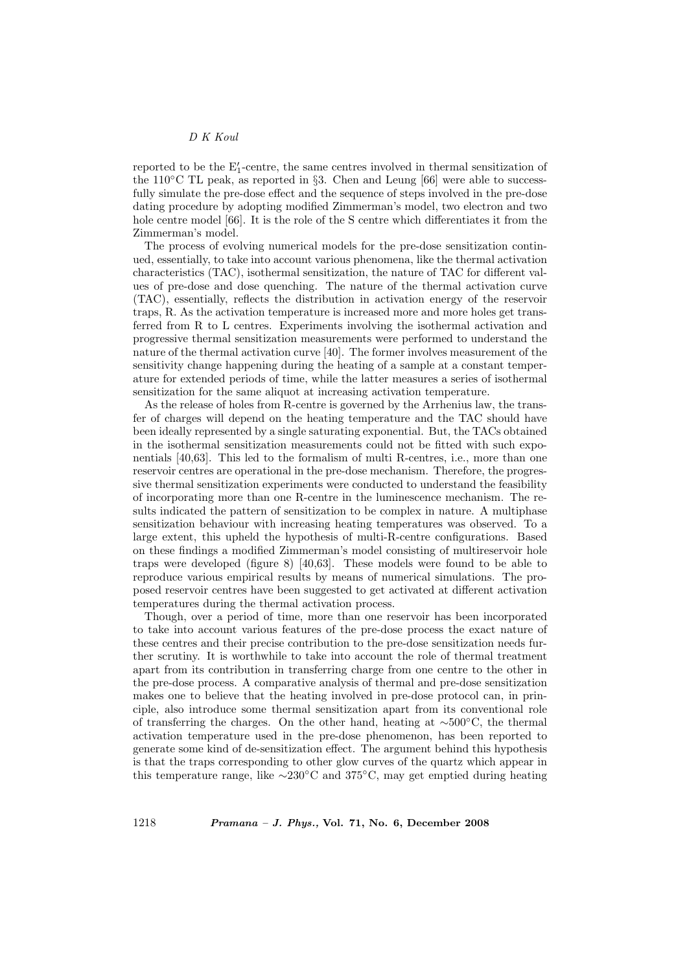reported to be the  $E_1'$ -centre, the same centres involved in thermal sensitization of the 110◦C TL peak, as reported in §3. Chen and Leung [66] were able to successfully simulate the pre-dose effect and the sequence of steps involved in the pre-dose dating procedure by adopting modified Zimmerman's model, two electron and two hole centre model [66]. It is the role of the S centre which differentiates it from the Zimmerman's model.

The process of evolving numerical models for the pre-dose sensitization continued, essentially, to take into account various phenomena, like the thermal activation characteristics (TAC), isothermal sensitization, the nature of TAC for different values of pre-dose and dose quenching. The nature of the thermal activation curve (TAC), essentially, reflects the distribution in activation energy of the reservoir traps, R. As the activation temperature is increased more and more holes get transferred from R to L centres. Experiments involving the isothermal activation and progressive thermal sensitization measurements were performed to understand the nature of the thermal activation curve [40]. The former involves measurement of the sensitivity change happening during the heating of a sample at a constant temperature for extended periods of time, while the latter measures a series of isothermal sensitization for the same aliquot at increasing activation temperature.

As the release of holes from R-centre is governed by the Arrhenius law, the transfer of charges will depend on the heating temperature and the TAC should have been ideally represented by a single saturating exponential. But, the TACs obtained in the isothermal sensitization measurements could not be fitted with such exponentials [40,63]. This led to the formalism of multi R-centres, i.e., more than one reservoir centres are operational in the pre-dose mechanism. Therefore, the progressive thermal sensitization experiments were conducted to understand the feasibility of incorporating more than one R-centre in the luminescence mechanism. The results indicated the pattern of sensitization to be complex in nature. A multiphase sensitization behaviour with increasing heating temperatures was observed. To a large extent, this upheld the hypothesis of multi-R-centre configurations. Based on these findings a modified Zimmerman's model consisting of multireservoir hole traps were developed (figure 8) [40,63]. These models were found to be able to reproduce various empirical results by means of numerical simulations. The proposed reservoir centres have been suggested to get activated at different activation temperatures during the thermal activation process.

Though, over a period of time, more than one reservoir has been incorporated to take into account various features of the pre-dose process the exact nature of these centres and their precise contribution to the pre-dose sensitization needs further scrutiny. It is worthwhile to take into account the role of thermal treatment apart from its contribution in transferring charge from one centre to the other in the pre-dose process. A comparative analysis of thermal and pre-dose sensitization makes one to believe that the heating involved in pre-dose protocol can, in principle, also introduce some thermal sensitization apart from its conventional role of transferring the charges. On the other hand, heating at ∼500◦C, the thermal activation temperature used in the pre-dose phenomenon, has been reported to generate some kind of de-sensitization effect. The argument behind this hypothesis is that the traps corresponding to other glow curves of the quartz which appear in this temperature range, like ∼230◦C and 375◦C, may get emptied during heating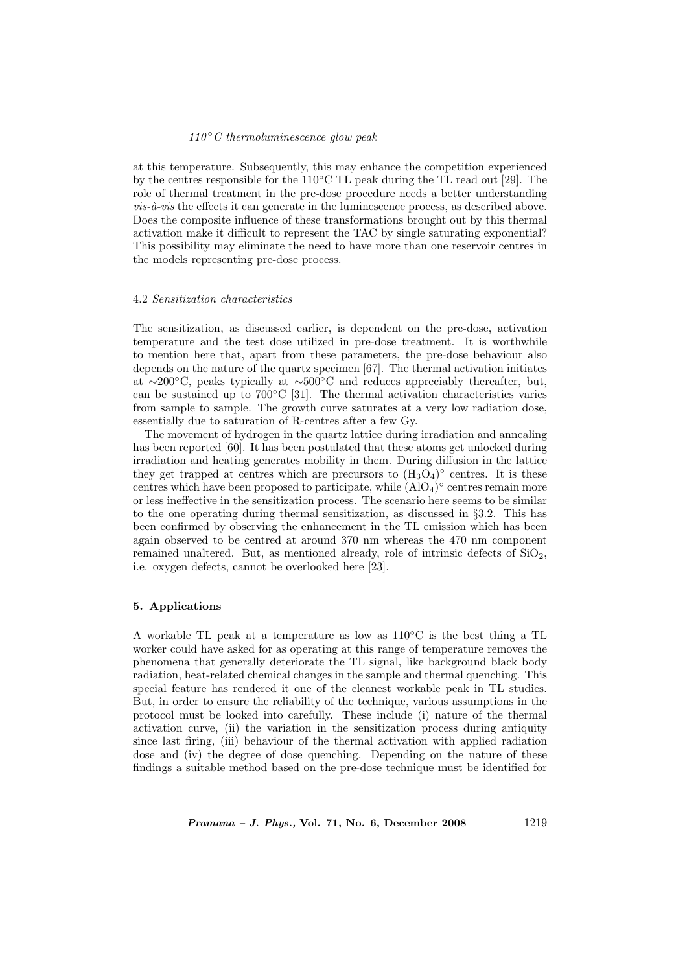at this temperature. Subsequently, this may enhance the competition experienced by the centres responsible for the 110◦C TL peak during the TL read out [29]. The role of thermal treatment in the pre-dose procedure needs a better understanding  $vis-\hat{a}-vis$  the effects it can generate in the luminescence process, as described above. Does the composite influence of these transformations brought out by this thermal activation make it difficult to represent the TAC by single saturating exponential? This possibility may eliminate the need to have more than one reservoir centres in the models representing pre-dose process.

#### 4.2 Sensitization characteristics

The sensitization, as discussed earlier, is dependent on the pre-dose, activation temperature and the test dose utilized in pre-dose treatment. It is worthwhile to mention here that, apart from these parameters, the pre-dose behaviour also depends on the nature of the quartz specimen [67]. The thermal activation initiates at ∼200◦C, peaks typically at ∼500◦C and reduces appreciably thereafter, but, can be sustained up to  $700\degree\text{C}$  [31]. The thermal activation characteristics varies from sample to sample. The growth curve saturates at a very low radiation dose, essentially due to saturation of R-centres after a few Gy.

The movement of hydrogen in the quartz lattice during irradiation and annealing has been reported [60]. It has been postulated that these atoms get unlocked during irradiation and heating generates mobility in them. During diffusion in the lattice they get trapped at centres which are precursors to  $(H_3O_4)^\circ$  centres. It is these centres which have been proposed to participate, while  $(AlO<sub>4</sub>)^{\circ}$  centres remain more or less ineffective in the sensitization process. The scenario here seems to be similar to the one operating during thermal sensitization, as discussed in §3.2. This has been confirmed by observing the enhancement in the TL emission which has been again observed to be centred at around 370 nm whereas the 470 nm component remained unaltered. But, as mentioned already, role of intrinsic defects of  $SiO<sub>2</sub>$ , i.e. oxygen defects, cannot be overlooked here [23].

#### 5. Applications

A workable TL peak at a temperature as low as 110◦C is the best thing a TL worker could have asked for as operating at this range of temperature removes the phenomena that generally deteriorate the TL signal, like background black body radiation, heat-related chemical changes in the sample and thermal quenching. This special feature has rendered it one of the cleanest workable peak in TL studies. But, in order to ensure the reliability of the technique, various assumptions in the protocol must be looked into carefully. These include (i) nature of the thermal activation curve, (ii) the variation in the sensitization process during antiquity since last firing, (iii) behaviour of the thermal activation with applied radiation dose and (iv) the degree of dose quenching. Depending on the nature of these findings a suitable method based on the pre-dose technique must be identified for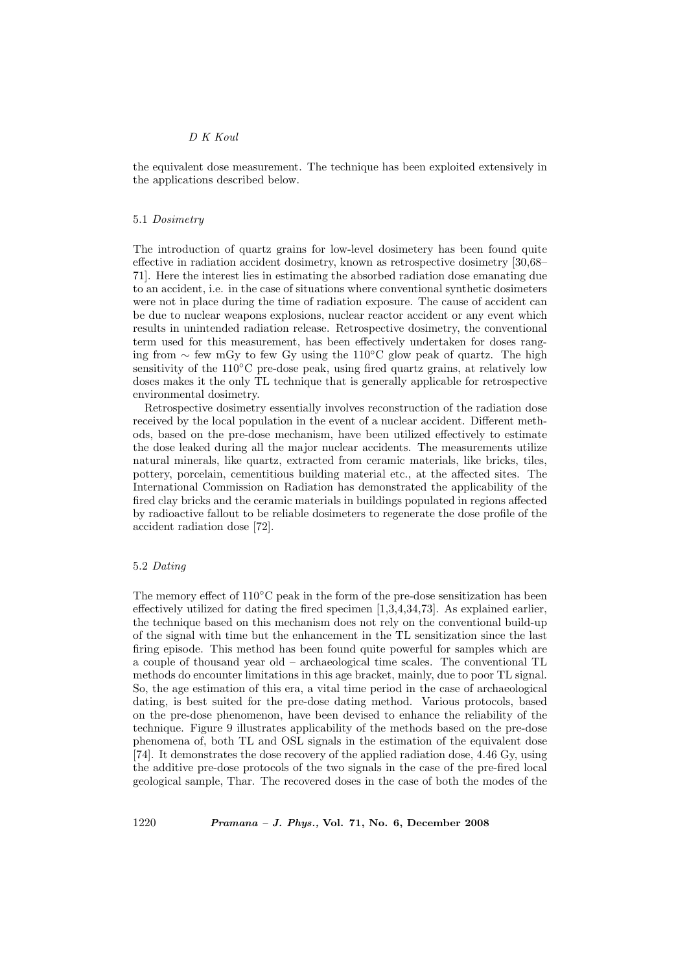the equivalent dose measurement. The technique has been exploited extensively in the applications described below.

#### 5.1 Dosimetry

The introduction of quartz grains for low-level dosimetery has been found quite effective in radiation accident dosimetry, known as retrospective dosimetry [30,68– 71]. Here the interest lies in estimating the absorbed radiation dose emanating due to an accident, i.e. in the case of situations where conventional synthetic dosimeters were not in place during the time of radiation exposure. The cause of accident can be due to nuclear weapons explosions, nuclear reactor accident or any event which results in unintended radiation release. Retrospective dosimetry, the conventional term used for this measurement, has been effectively undertaken for doses ranging from  $\sim$  few mGy to few Gy using the 110<sup>°</sup>C glow peak of quartz. The high sensitivity of the 110°C pre-dose peak, using fired quartz grains, at relatively low doses makes it the only TL technique that is generally applicable for retrospective environmental dosimetry.

Retrospective dosimetry essentially involves reconstruction of the radiation dose received by the local population in the event of a nuclear accident. Different methods, based on the pre-dose mechanism, have been utilized effectively to estimate the dose leaked during all the major nuclear accidents. The measurements utilize natural minerals, like quartz, extracted from ceramic materials, like bricks, tiles, pottery, porcelain, cementitious building material etc., at the affected sites. The International Commission on Radiation has demonstrated the applicability of the fired clay bricks and the ceramic materials in buildings populated in regions affected by radioactive fallout to be reliable dosimeters to regenerate the dose profile of the accident radiation dose [72].

#### 5.2 Dating

The memory effect of  $110\degree$ C peak in the form of the pre-dose sensitization has been effectively utilized for dating the fired specimen [1,3,4,34,73]. As explained earlier, the technique based on this mechanism does not rely on the conventional build-up of the signal with time but the enhancement in the TL sensitization since the last firing episode. This method has been found quite powerful for samples which are a couple of thousand year old – archaeological time scales. The conventional TL methods do encounter limitations in this age bracket, mainly, due to poor TL signal. So, the age estimation of this era, a vital time period in the case of archaeological dating, is best suited for the pre-dose dating method. Various protocols, based on the pre-dose phenomenon, have been devised to enhance the reliability of the technique. Figure 9 illustrates applicability of the methods based on the pre-dose phenomena of, both TL and OSL signals in the estimation of the equivalent dose [74]. It demonstrates the dose recovery of the applied radiation dose, 4.46 Gy, using the additive pre-dose protocols of the two signals in the case of the pre-fired local geological sample, Thar. The recovered doses in the case of both the modes of the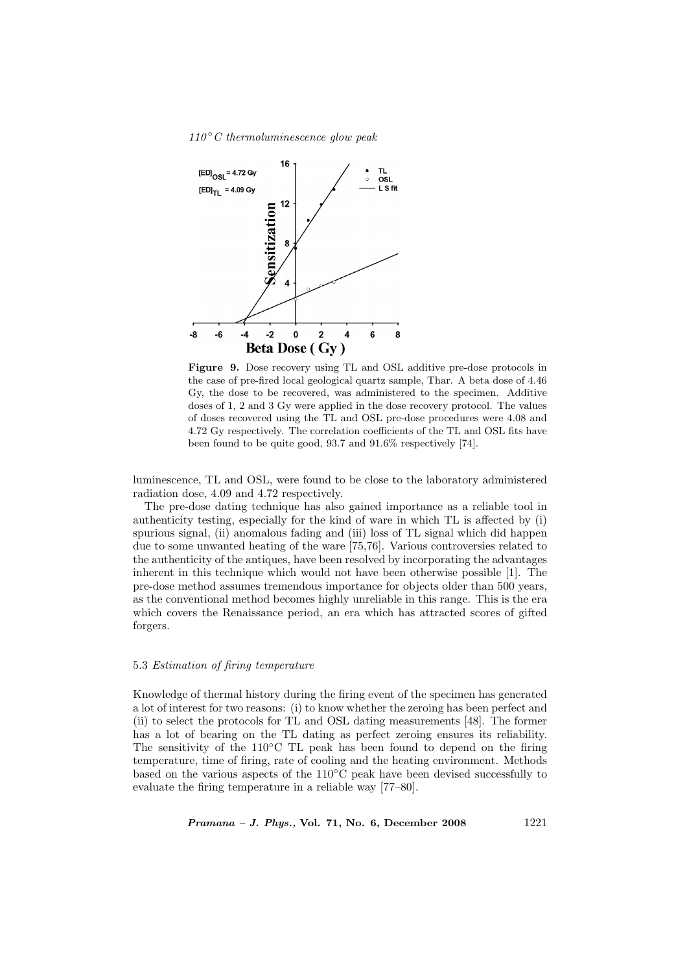

Figure 9. Dose recovery using TL and OSL additive pre-dose protocols in the case of pre-fired local geological quartz sample, Thar. A beta dose of 4.46 Gy, the dose to be recovered, was administered to the specimen. Additive doses of 1, 2 and 3 Gy were applied in the dose recovery protocol. The values of doses recovered using the TL and OSL pre-dose procedures were 4.08 and 4.72 Gy respectively. The correlation coefficients of the TL and OSL fits have been found to be quite good, 93.7 and 91.6% respectively [74].

luminescence, TL and OSL, were found to be close to the laboratory administered radiation dose, 4.09 and 4.72 respectively.

The pre-dose dating technique has also gained importance as a reliable tool in authenticity testing, especially for the kind of ware in which TL is affected by (i) spurious signal, (ii) anomalous fading and (iii) loss of TL signal which did happen due to some unwanted heating of the ware [75,76]. Various controversies related to the authenticity of the antiques, have been resolved by incorporating the advantages inherent in this technique which would not have been otherwise possible [1]. The pre-dose method assumes tremendous importance for objects older than 500 years, as the conventional method becomes highly unreliable in this range. This is the era which covers the Renaissance period, an era which has attracted scores of gifted forgers.

#### 5.3 Estimation of firing temperature

Knowledge of thermal history during the firing event of the specimen has generated a lot of interest for two reasons: (i) to know whether the zeroing has been perfect and (ii) to select the protocols for TL and OSL dating measurements [48]. The former has a lot of bearing on the TL dating as perfect zeroing ensures its reliability. The sensitivity of the  $110°C$  TL peak has been found to depend on the firing temperature, time of firing, rate of cooling and the heating environment. Methods based on the various aspects of the 110◦C peak have been devised successfully to evaluate the firing temperature in a reliable way [77–80].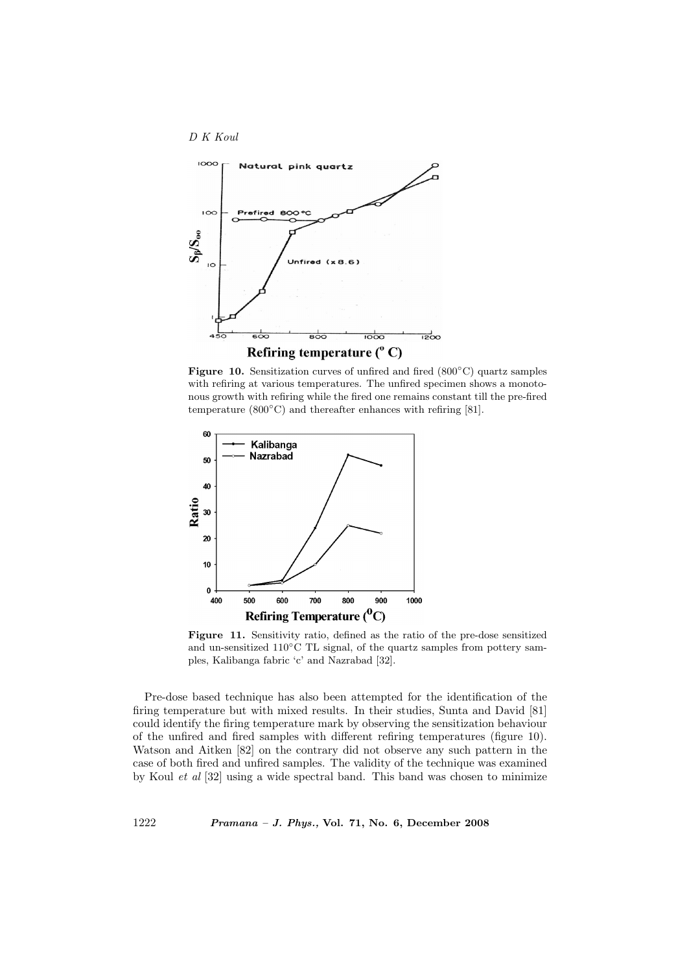



Figure 10. Sensitization curves of unfired and fired (800°C) quartz samples with refiring at various temperatures. The unfired specimen shows a monotonous growth with refiring while the fired one remains constant till the pre-fired temperature (800◦C) and thereafter enhances with refiring [81].



Figure 11. Sensitivity ratio, defined as the ratio of the pre-dose sensitized and un-sensitized  $110\degree$ C TL signal, of the quartz samples from pottery samples, Kalibanga fabric 'c' and Nazrabad [32].

Pre-dose based technique has also been attempted for the identification of the firing temperature but with mixed results. In their studies, Sunta and David [81] could identify the firing temperature mark by observing the sensitization behaviour of the unfired and fired samples with different refiring temperatures (figure 10). Watson and Aitken [82] on the contrary did not observe any such pattern in the case of both fired and unfired samples. The validity of the technique was examined by Koul et al [32] using a wide spectral band. This band was chosen to minimize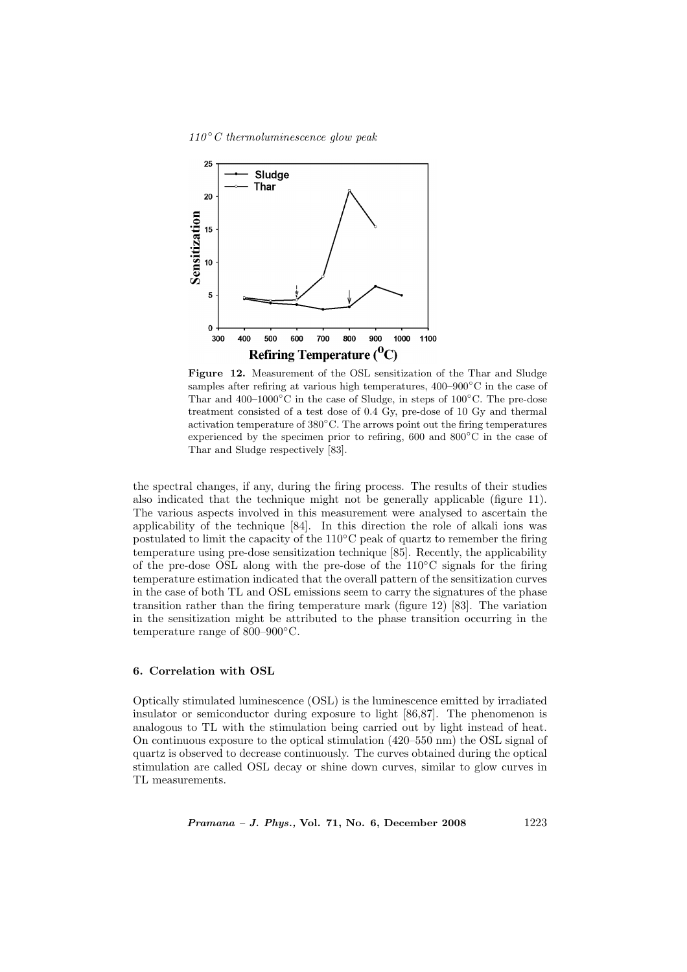

Figure 12. Measurement of the OSL sensitization of the Thar and Sludge samples after refiring at various high temperatures,  $400-900°C$  in the case of Thar and  $400-1000°\text{C}$  in the case of Sludge, in steps of  $100°\text{C}$ . The pre-dose treatment consisted of a test dose of 0.4 Gy, pre-dose of 10 Gy and thermal activation temperature of 380◦C. The arrows point out the firing temperatures experienced by the specimen prior to refiring,  $600$  and  $800°$ C in the case of Thar and Sludge respectively [83].

the spectral changes, if any, during the firing process. The results of their studies also indicated that the technique might not be generally applicable (figure 11). The various aspects involved in this measurement were analysed to ascertain the applicability of the technique [84]. In this direction the role of alkali ions was postulated to limit the capacity of the  $110\degree$ C peak of quartz to remember the firing temperature using pre-dose sensitization technique [85]. Recently, the applicability of the pre-dose OSL along with the pre-dose of the  $110\degree$ C signals for the firing temperature estimation indicated that the overall pattern of the sensitization curves in the case of both TL and OSL emissions seem to carry the signatures of the phase transition rather than the firing temperature mark (figure 12) [83]. The variation in the sensitization might be attributed to the phase transition occurring in the temperature range of 800–900◦C.

#### 6. Correlation with OSL

Optically stimulated luminescence (OSL) is the luminescence emitted by irradiated insulator or semiconductor during exposure to light [86,87]. The phenomenon is analogous to TL with the stimulation being carried out by light instead of heat. On continuous exposure to the optical stimulation (420–550 nm) the OSL signal of quartz is observed to decrease continuously. The curves obtained during the optical stimulation are called OSL decay or shine down curves, similar to glow curves in TL measurements.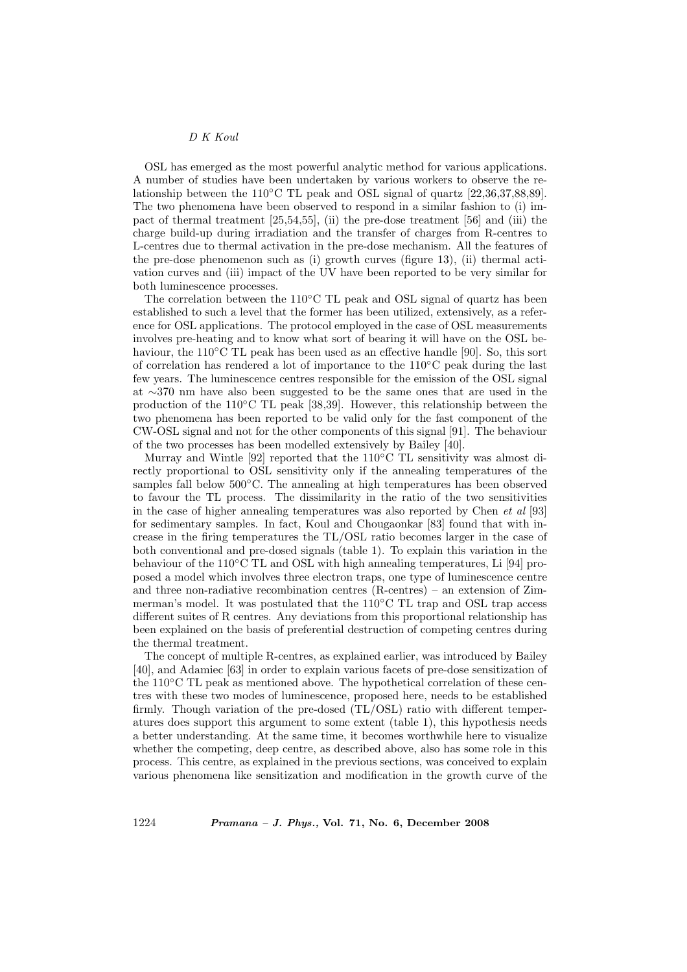OSL has emerged as the most powerful analytic method for various applications. A number of studies have been undertaken by various workers to observe the relationship between the 110◦C TL peak and OSL signal of quartz [22,36,37,88,89]. The two phenomena have been observed to respond in a similar fashion to (i) impact of thermal treatment [25,54,55], (ii) the pre-dose treatment [56] and (iii) the charge build-up during irradiation and the transfer of charges from R-centres to L-centres due to thermal activation in the pre-dose mechanism. All the features of the pre-dose phenomenon such as (i) growth curves (figure 13), (ii) thermal activation curves and (iii) impact of the UV have been reported to be very similar for both luminescence processes.

The correlation between the 110◦C TL peak and OSL signal of quartz has been established to such a level that the former has been utilized, extensively, as a reference for OSL applications. The protocol employed in the case of OSL measurements involves pre-heating and to know what sort of bearing it will have on the OSL behaviour, the 110◦C TL peak has been used as an effective handle [90]. So, this sort of correlation has rendered a lot of importance to the  $110\degree$ C peak during the last few years. The luminescence centres responsible for the emission of the OSL signal at ∼370 nm have also been suggested to be the same ones that are used in the production of the 110◦C TL peak [38,39]. However, this relationship between the two phenomena has been reported to be valid only for the fast component of the CW-OSL signal and not for the other components of this signal [91]. The behaviour of the two processes has been modelled extensively by Bailey [40].

Murray and Wintle [92] reported that the 110◦C TL sensitivity was almost directly proportional to OSL sensitivity only if the annealing temperatures of the samples fall below 500°C. The annealing at high temperatures has been observed to favour the TL process. The dissimilarity in the ratio of the two sensitivities in the case of higher annealing temperatures was also reported by Chen et al [93] for sedimentary samples. In fact, Koul and Chougaonkar [83] found that with increase in the firing temperatures the TL/OSL ratio becomes larger in the case of both conventional and pre-dosed signals (table 1). To explain this variation in the behaviour of the 110◦C TL and OSL with high annealing temperatures, Li [94] proposed a model which involves three electron traps, one type of luminescence centre and three non-radiative recombination centres (R-centres) – an extension of Zimmerman's model. It was postulated that the 110◦C TL trap and OSL trap access different suites of R centres. Any deviations from this proportional relationship has been explained on the basis of preferential destruction of competing centres during the thermal treatment.

The concept of multiple R-centres, as explained earlier, was introduced by Bailey [40], and Adamiec [63] in order to explain various facets of pre-dose sensitization of the 110◦C TL peak as mentioned above. The hypothetical correlation of these centres with these two modes of luminescence, proposed here, needs to be established firmly. Though variation of the pre-dosed (TL/OSL) ratio with different temperatures does support this argument to some extent (table 1), this hypothesis needs a better understanding. At the same time, it becomes worthwhile here to visualize whether the competing, deep centre, as described above, also has some role in this process. This centre, as explained in the previous sections, was conceived to explain various phenomena like sensitization and modification in the growth curve of the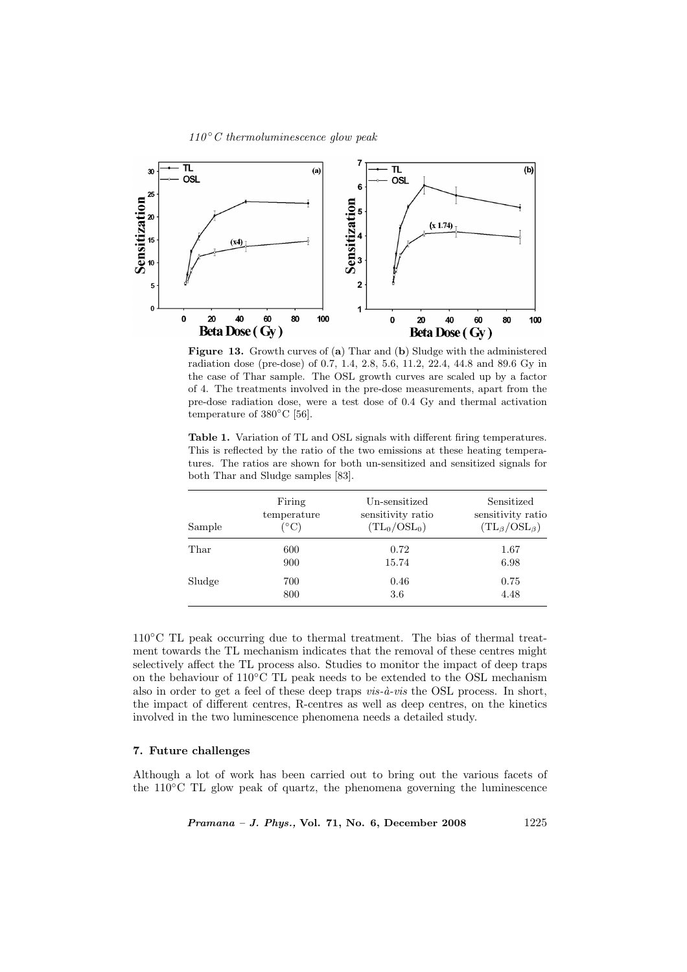

Figure 13. Growth curves of (a) Thar and (b) Sludge with the administered radiation dose (pre-dose) of 0.7, 1.4, 2.8, 5.6, 11.2, 22.4, 44.8 and 89.6 Gy in the case of Thar sample. The OSL growth curves are scaled up by a factor of 4. The treatments involved in the pre-dose measurements, apart from the pre-dose radiation dose, were a test dose of 0.4 Gy and thermal activation temperature of 380◦C [56].

Table 1. Variation of TL and OSL signals with different firing temperatures. This is reflected by the ratio of the two emissions at these heating temperatures. The ratios are shown for both un-sensitized and sensitized signals for both Thar and Sludge samples [83].

| Sample | Firing<br>temperature<br>$(^\circ C)$ | Un-sensitized<br>sensitivity ratio<br>$(TL_0/OSL_0)$ | Sensitized<br>sensitivity ratio<br>$(TL_\beta/\mathrm{OSL}_\beta)$ |
|--------|---------------------------------------|------------------------------------------------------|--------------------------------------------------------------------|
| Thar   | 600                                   | 0.72                                                 | 1.67                                                               |
|        | 900                                   | 15.74                                                | 6.98                                                               |
| Sludge | 700                                   | 0.46                                                 | 0.75                                                               |
|        | 800                                   | 3.6                                                  | 4.48                                                               |

110◦C TL peak occurring due to thermal treatment. The bias of thermal treatment towards the TL mechanism indicates that the removal of these centres might selectively affect the TL process also. Studies to monitor the impact of deep traps on the behaviour of 110◦C TL peak needs to be extended to the OSL mechanism also in order to get a feel of these deep traps  $vis-\hat{a}-vis$  the OSL process. In short, the impact of different centres, R-centres as well as deep centres, on the kinetics involved in the two luminescence phenomena needs a detailed study.

## 7. Future challenges

Although a lot of work has been carried out to bring out the various facets of the 110◦C TL glow peak of quartz, the phenomena governing the luminescence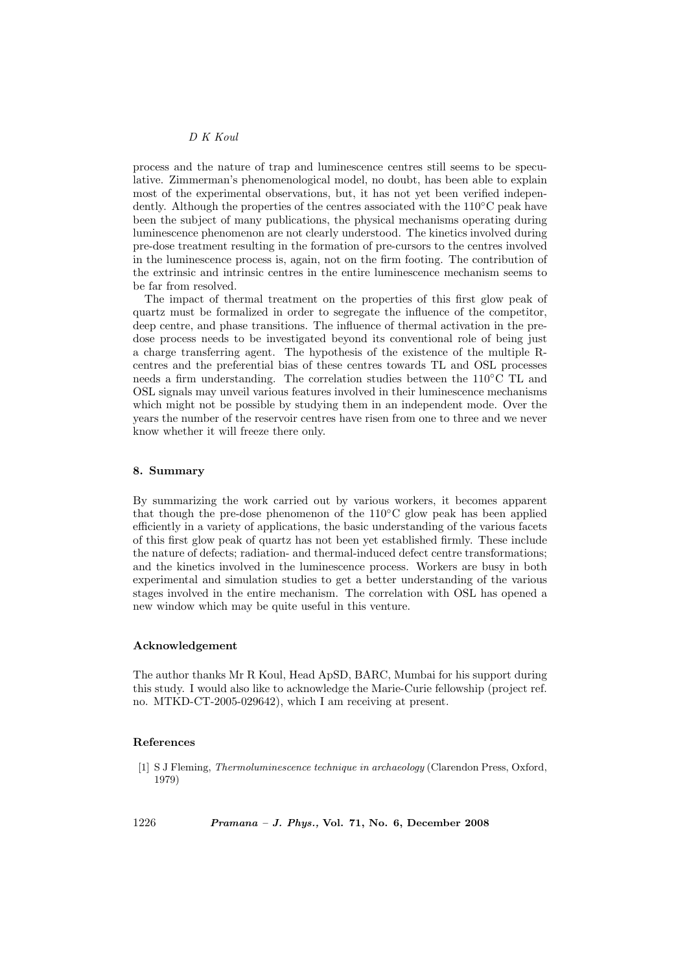process and the nature of trap and luminescence centres still seems to be speculative. Zimmerman's phenomenological model, no doubt, has been able to explain most of the experimental observations, but, it has not yet been verified independently. Although the properties of the centres associated with the  $110°C$  peak have been the subject of many publications, the physical mechanisms operating during luminescence phenomenon are not clearly understood. The kinetics involved during pre-dose treatment resulting in the formation of pre-cursors to the centres involved in the luminescence process is, again, not on the firm footing. The contribution of the extrinsic and intrinsic centres in the entire luminescence mechanism seems to be far from resolved.

The impact of thermal treatment on the properties of this first glow peak of quartz must be formalized in order to segregate the influence of the competitor, deep centre, and phase transitions. The influence of thermal activation in the predose process needs to be investigated beyond its conventional role of being just a charge transferring agent. The hypothesis of the existence of the multiple Rcentres and the preferential bias of these centres towards TL and OSL processes needs a firm understanding. The correlation studies between the 110◦C TL and OSL signals may unveil various features involved in their luminescence mechanisms which might not be possible by studying them in an independent mode. Over the years the number of the reservoir centres have risen from one to three and we never know whether it will freeze there only.

## 8. Summary

By summarizing the work carried out by various workers, it becomes apparent that though the pre-dose phenomenon of the  $110°C$  glow peak has been applied efficiently in a variety of applications, the basic understanding of the various facets of this first glow peak of quartz has not been yet established firmly. These include the nature of defects; radiation- and thermal-induced defect centre transformations; and the kinetics involved in the luminescence process. Workers are busy in both experimental and simulation studies to get a better understanding of the various stages involved in the entire mechanism. The correlation with OSL has opened a new window which may be quite useful in this venture.

## Acknowledgement

The author thanks Mr R Koul, Head ApSD, BARC, Mumbai for his support during this study. I would also like to acknowledge the Marie-Curie fellowship (project ref. no. MTKD-CT-2005-029642), which I am receiving at present.

#### References

[1] S J Fleming, Thermoluminescence technique in archaeology (Clarendon Press, Oxford, 1979)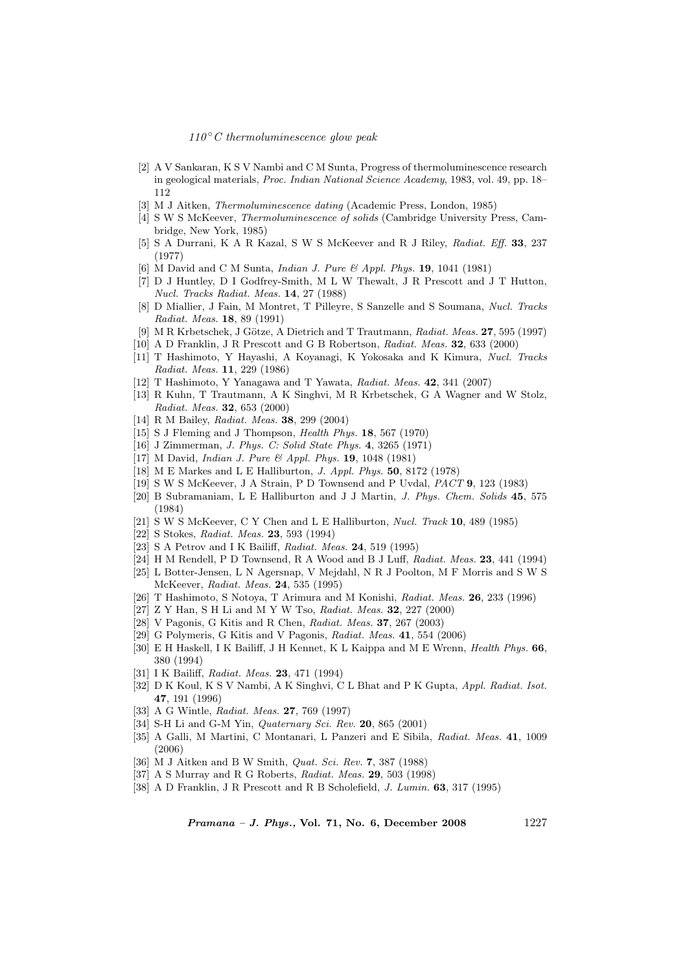- [2] A V Sankaran, K S V Nambi and C M Sunta, Progress of thermoluminescence research in geological materials, Proc. Indian National Science Academy, 1983, vol. 49, pp. 18– 112
- [3] M J Aitken, Thermoluminescence dating (Academic Press, London, 1985)
- [4] S W S McKeever, Thermoluminescence of solids (Cambridge University Press, Cambridge, New York, 1985)
- [5] S A Durrani, K A R Kazal, S W S McKeever and R J Riley, Radiat. Eff. 33, 237 (1977)
- [6] M David and C M Sunta, *Indian J. Pure & Appl. Phys.* **19**, 1041 (1981)
- [7] D J Huntley, D I Godfrey-Smith, M L W Thewalt, J R Prescott and J T Hutton, Nucl. Tracks Radiat. Meas. 14, 27 (1988)
- [8] D Miallier, J Fain, M Montret, T Pilleyre, S Sanzelle and S Soumana, Nucl. Tracks Radiat. Meas. 18, 89 (1991)
- [9] M R Krbetschek, J Götze, A Dietrich and T Trautmann, *Radiat. Meas.* 27, 595 (1997)
- [10] A D Franklin, J R Prescott and G B Robertson, Radiat. Meas. 32, 633 (2000)
- [11] T Hashimoto, Y Hayashi, A Koyanagi, K Yokosaka and K Kimura, Nucl. Tracks Radiat. Meas. 11, 229 (1986)
- [12] T Hashimoto, Y Yanagawa and T Yawata, Radiat. Meas. 42, 341 (2007)
- [13] R Kuhn, T Trautmann, A K Singhvi, M R Krbetschek, G A Wagner and W Stolz, Radiat. Meas. 32, 653 (2000)
- [14] R M Bailey, Radiat. Meas. 38, 299 (2004)
- [15] S J Fleming and J Thompson, *Health Phys.* **18**, 567 (1970)
- [16] J Zimmerman, J. Phys. C: Solid State Phys. 4, 3265 (1971)
- [17] M David, Indian J. Pure & Appl. Phys. 19, 1048 (1981)
- [18] M E Markes and L E Halliburton, J. Appl. Phys. 50, 8172 (1978)
- [19] S W S McKeever, J A Strain, P D Townsend and P Uvdal, PACT 9, 123 (1983)
- [20] B Subramaniam, L E Halliburton and J J Martin, J. Phys. Chem. Solids 45, 575 (1984)
- [21] S W S McKeever, C Y Chen and L E Halliburton, Nucl. Track 10, 489 (1985)
- [22] S Stokes, Radiat. Meas. 23, 593 (1994)
- [23] S A Petrov and I K Bailiff, Radiat. Meas. 24, 519 (1995)
- [24] H M Rendell, P D Townsend, R A Wood and B J Luff, Radiat. Meas. 23, 441 (1994)
- [25] L Botter-Jensen, L N Agersnap, V Mejdahl, N R J Poolton, M F Morris and S W S McKeever, Radiat. Meas. 24, 535 (1995)
- [26] T Hashimoto, S Notoya, T Arimura and M Konishi, Radiat. Meas. 26, 233 (1996)
- [27] Z Y Han, S H Li and M Y W Tso, Radiat. Meas. 32, 227 (2000)
- [28] V Pagonis, G Kitis and R Chen, Radiat. Meas. 37, 267 (2003)
- [29] G Polymeris, G Kitis and V Pagonis, Radiat. Meas. 41, 554 (2006)
- [30] E H Haskell, I K Bailiff, J H Kennet, K L Kaippa and M E Wrenn, Health Phys. 66, 380 (1994)
- [31] I K Bailiff, Radiat. Meas. 23, 471 (1994)
- [32] D K Koul, K S V Nambi, A K Singhvi, C L Bhat and P K Gupta, Appl. Radiat. Isot. 47, 191 (1996)
- [33] A G Wintle, Radiat. Meas. 27, 769 (1997)
- [34] S-H Li and G-M Yin, *Quaternary Sci. Rev.* **20**, 865 (2001)
- [35] A Galli, M Martini, C Montanari, L Panzeri and E Sibila, Radiat. Meas. 41, 1009 (2006)
- [36] M J Aitken and B W Smith, *Quat. Sci. Rev.* 7, 387 (1988)
- [37] A S Murray and R G Roberts, Radiat. Meas. 29, 503 (1998)
- [38] A D Franklin, J R Prescott and R B Scholefield, J. Lumin. 63, 317 (1995)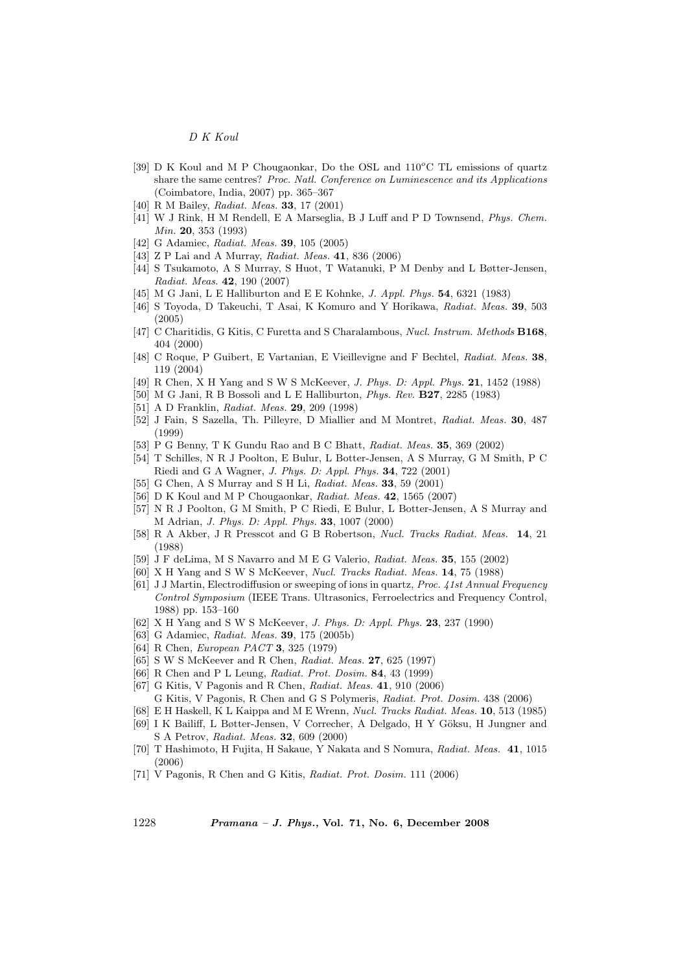- [39] D K Koul and M P Chougaonkar, Do the OSL and  $110^{\circ}$ C TL emissions of quartz share the same centres? Proc. Natl. Conference on Luminescence and its Applications (Coimbatore, India, 2007) pp. 365–367
- [40] R M Bailey, Radiat. Meas. 33, 17 (2001)
- [41] W J Rink, H M Rendell, E A Marseglia, B J Luff and P D Townsend, Phys. Chem. Min. **20**, 353 (1993)
- [42] G Adamiec, Radiat. Meas. 39, 105 (2005)
- [43] Z P Lai and A Murray, Radiat. Meas. 41, 836 (2006)
- [44] S Tsukamoto, A S Murray, S Huot, T Watanuki, P M Denby and L Bøtter-Jensen, Radiat. Meas. 42, 190 (2007)
- [45] M G Jani, L E Halliburton and E E Kohnke, J. Appl. Phys. 54, 6321 (1983)
- [46] S Toyoda, D Takeuchi, T Asai, K Komuro and Y Horikawa, Radiat. Meas. 39, 503 (2005)
- [47] C Charitidis, G Kitis, C Furetta and S Charalambous, Nucl. Instrum. Methods **B168**, 404 (2000)
- [48] C Roque, P Guibert, E Vartanian, E Vieillevigne and F Bechtel, Radiat. Meas. 38, 119 (2004)
- [49] R Chen, X H Yang and S W S McKeever, J. Phys. D: Appl. Phys. 21, 1452 (1988)
- [50] M G Jani, R B Bossoli and L E Halliburton, Phys. Rev. B27, 2285 (1983)
- [51] A D Franklin, Radiat. Meas. 29, 209 (1998)
- [52] J Fain, S Sazella, Th. Pilleyre, D Miallier and M Montret, Radiat. Meas. 30, 487 (1999)
- [53] P G Benny, T K Gundu Rao and B C Bhatt, Radiat. Meas. 35, 369 (2002)
- [54] T Schilles, N R J Poolton, E Bulur, L Botter-Jensen, A S Murray, G M Smith, P C Riedi and G A Wagner, J. Phys. D: Appl. Phys. 34, 722 (2001)
- [55] G Chen, A S Murray and S H Li, Radiat. Meas. 33, 59 (2001)
- [56] D K Koul and M P Chougaonkar, Radiat. Meas. 42, 1565 (2007)
- [57] N R J Poolton, G M Smith, P C Riedi, E Bulur, L Botter-Jensen, A S Murray and M Adrian, J. Phys. D: Appl. Phys. 33, 1007 (2000)
- [58] R A Akber, J R Presscot and G B Robertson, Nucl. Tracks Radiat. Meas. 14, 21 (1988)
- [59] J F deLima, M S Navarro and M E G Valerio, Radiat. Meas. 35, 155 (2002)
- [60] X H Yang and S W S McKeever, Nucl. Tracks Radiat. Meas. 14, 75 (1988)
- [61] J J Martin, Electrodiffusion or sweeping of ions in quartz, Proc. 41st Annual Frequency Control Symposium (IEEE Trans. Ultrasonics, Ferroelectrics and Frequency Control, 1988) pp. 153–160
- [62] X H Yang and S W S McKeever, J. Phys. D: Appl. Phys. 23, 237 (1990)
- [63] G Adamiec, Radiat. Meas. 39, 175 (2005b)
- [64] R Chen, *European PACT* **3**, 325 (1979)
- [65] S W S McKeever and R Chen, Radiat. Meas. 27, 625 (1997)
- [66] R Chen and P L Leung, Radiat. Prot. Dosim. 84, 43 (1999)
- [67] G Kitis, V Pagonis and R Chen, Radiat. Meas. 41, 910 (2006) G Kitis, V Pagonis, R Chen and G S Polymeris, Radiat. Prot. Dosim. 438 (2006)
- [68] E H Haskell, K L Kaippa and M E Wrenn, Nucl. Tracks Radiat. Meas. 10, 513 (1985)
- [69] I K Bailiff, L Bøtter-Jensen, V Correcher, A Delgado, H Y Göksu, H Jungner and S A Petrov, Radiat. Meas. 32, 609 (2000)
- [70] T Hashimoto, H Fujita, H Sakaue, Y Nakata and S Nomura, Radiat. Meas. 41, 1015 (2006)
- [71] V Pagonis, R Chen and G Kitis, Radiat. Prot. Dosim. 111 (2006)